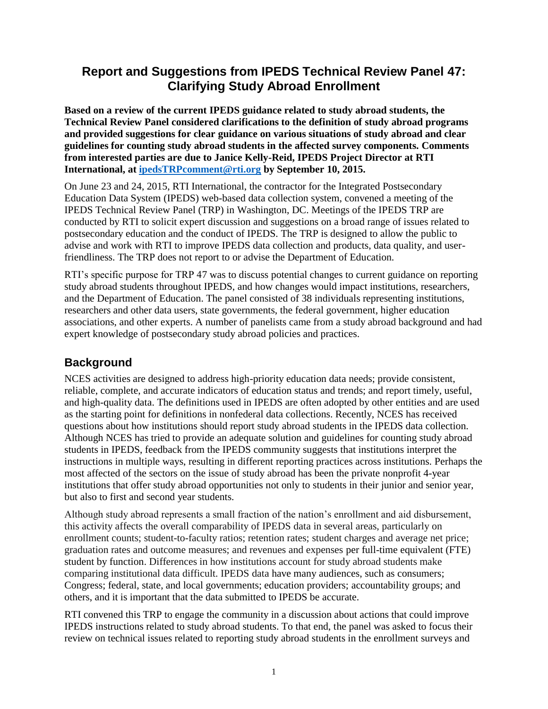# **Report and Suggestions from IPEDS Technical Review Panel 47: Clarifying Study Abroad Enrollment**

**Based on a review of the current IPEDS guidance related to study abroad students, the Technical Review Panel considered clarifications to the definition of study abroad programs and provided suggestions for clear guidance on various situations of study abroad and clear guidelines for counting study abroad students in the affected survey components. Comments from interested parties are due to Janice Kelly-Reid, IPEDS Project Director at RTI International, at [ipedsTRPcomment@rti.org](mailto:ipedsTRPcomment@rti.org) by September 10, 2015.**

On June 23 and 24, 2015, RTI International, the contractor for the Integrated Postsecondary Education Data System (IPEDS) web-based data collection system, convened a meeting of the IPEDS Technical Review Panel (TRP) in Washington, DC. Meetings of the IPEDS TRP are conducted by RTI to solicit expert discussion and suggestions on a broad range of issues related to postsecondary education and the conduct of IPEDS. The TRP is designed to allow the public to advise and work with RTI to improve IPEDS data collection and products, data quality, and userfriendliness. The TRP does not report to or advise the Department of Education.

RTI's specific purpose for TRP 47 was to discuss potential changes to current guidance on reporting study abroad students throughout IPEDS, and how changes would impact institutions, researchers, and the Department of Education. The panel consisted of 38 individuals representing institutions, researchers and other data users, state governments, the federal government, higher education associations, and other experts. A number of panelists came from a study abroad background and had expert knowledge of postsecondary study abroad policies and practices.

# **Background**

NCES activities are designed to address high-priority education data needs; provide consistent, reliable, complete, and accurate indicators of education status and trends; and report timely, useful, and high-quality data. The definitions used in IPEDS are often adopted by other entities and are used as the starting point for definitions in nonfederal data collections. Recently, NCES has received questions about how institutions should report study abroad students in the IPEDS data collection. Although NCES has tried to provide an adequate solution and guidelines for counting study abroad students in IPEDS, feedback from the IPEDS community suggests that institutions interpret the instructions in multiple ways, resulting in different reporting practices across institutions. Perhaps the most affected of the sectors on the issue of study abroad has been the private nonprofit 4-year institutions that offer study abroad opportunities not only to students in their junior and senior year, but also to first and second year students.

Although study abroad represents a small fraction of the nation's enrollment and aid disbursement, this activity affects the overall comparability of IPEDS data in several areas, particularly on enrollment counts; student-to-faculty ratios; retention rates; student charges and average net price; graduation rates and outcome measures; and revenues and expenses per full-time equivalent (FTE) student by function. Differences in how institutions account for study abroad students make comparing institutional data difficult. IPEDS data have many audiences, such as consumers; Congress; federal, state, and local governments; education providers; accountability groups; and others, and it is important that the data submitted to IPEDS be accurate.

RTI convened this TRP to engage the community in a discussion about actions that could improve IPEDS instructions related to study abroad students. To that end, the panel was asked to focus their review on technical issues related to reporting study abroad students in the enrollment surveys and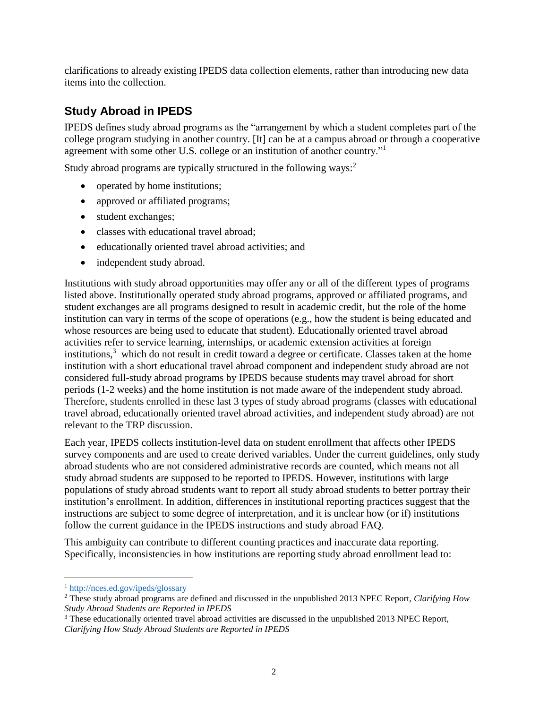clarifications to already existing IPEDS data collection elements, rather than introducing new data items into the collection.

# **Study Abroad in IPEDS**

IPEDS defines study abroad programs as the "arrangement by which a student completes part of the college program studying in another country. [It] can be at a campus abroad or through a cooperative agreement with some other U.S. college or an institution of another country."<sup>1</sup>

Study abroad programs are typically structured in the following ways:<sup>2</sup>

- operated by home institutions;
- approved or affiliated programs;
- student exchanges;
- classes with educational travel abroad:
- educationally oriented travel abroad activities; and
- independent study abroad.

Institutions with study abroad opportunities may offer any or all of the different types of programs listed above. Institutionally operated study abroad programs, approved or affiliated programs, and student exchanges are all programs designed to result in academic credit, but the role of the home institution can vary in terms of the scope of operations (e.g., how the student is being educated and whose resources are being used to educate that student). Educationally oriented travel abroad activities refer to service learning, internships, or academic extension activities at foreign institutions, <sup>3</sup> which do not result in credit toward a degree or certificate. Classes taken at the home institution with a short educational travel abroad component and independent study abroad are not considered full-study abroad programs by IPEDS because students may travel abroad for short periods (1-2 weeks) and the home institution is not made aware of the independent study abroad. Therefore, students enrolled in these last 3 types of study abroad programs (classes with educational travel abroad, educationally oriented travel abroad activities, and independent study abroad) are not relevant to the TRP discussion.

Each year, IPEDS collects institution-level data on student enrollment that affects other IPEDS survey components and are used to create derived variables. Under the current guidelines, only study abroad students who are not considered administrative records are counted, which means not all study abroad students are supposed to be reported to IPEDS. However, institutions with large populations of study abroad students want to report all study abroad students to better portray their institution's enrollment. In addition, differences in institutional reporting practices suggest that the instructions are subject to some degree of interpretation, and it is unclear how (or if) institutions follow the current guidance in the IPEDS instructions and study abroad FAQ.

This ambiguity can contribute to different counting practices and inaccurate data reporting. Specifically, inconsistencies in how institutions are reporting study abroad enrollment lead to:

l <sup>1</sup> <http://nces.ed.gov/ipeds/glossary>

<sup>2</sup> These study abroad programs are defined and discussed in the unpublished 2013 NPEC Report, *Clarifying How Study Abroad Students are Reported in IPEDS*

<sup>&</sup>lt;sup>3</sup> These educationally oriented travel abroad activities are discussed in the unpublished 2013 NPEC Report, *Clarifying How Study Abroad Students are Reported in IPEDS*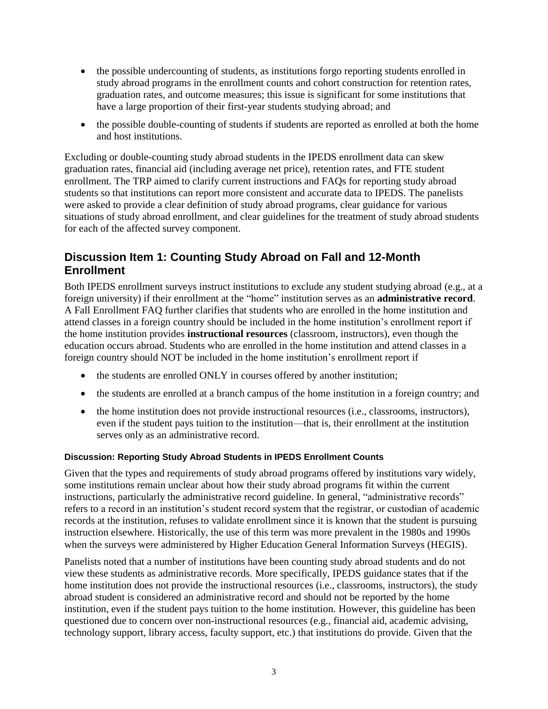- the possible undercounting of students, as institutions forgo reporting students enrolled in study abroad programs in the enrollment counts and cohort construction for retention rates, graduation rates, and outcome measures; this issue is significant for some institutions that have a large proportion of their first-year students studying abroad; and
- the possible double-counting of students if students are reported as enrolled at both the home and host institutions.

Excluding or double-counting study abroad students in the IPEDS enrollment data can skew graduation rates, financial aid (including average net price), retention rates, and FTE student enrollment. The TRP aimed to clarify current instructions and FAQs for reporting study abroad students so that institutions can report more consistent and accurate data to IPEDS. The panelists were asked to provide a clear definition of study abroad programs, clear guidance for various situations of study abroad enrollment, and clear guidelines for the treatment of study abroad students for each of the affected survey component.

# **Discussion Item 1: Counting Study Abroad on Fall and 12-Month Enrollment**

Both IPEDS enrollment surveys instruct institutions to exclude any student studying abroad (e.g., at a foreign university) if their enrollment at the "home" institution serves as an **administrative record**. A Fall Enrollment FAQ further clarifies that students who are enrolled in the home institution and attend classes in a foreign country should be included in the home institution's enrollment report if the home institution provides **instructional resources** (classroom, instructors), even though the education occurs abroad. Students who are enrolled in the home institution and attend classes in a foreign country should NOT be included in the home institution's enrollment report if

- the students are enrolled ONLY in courses offered by another institution;
- the students are enrolled at a branch campus of the home institution in a foreign country; and
- the home institution does not provide instructional resources (i.e., classrooms, instructors), even if the student pays tuition to the institution—that is, their enrollment at the institution serves only as an administrative record.

### **Discussion: Reporting Study Abroad Students in IPEDS Enrollment Counts**

Given that the types and requirements of study abroad programs offered by institutions vary widely, some institutions remain unclear about how their study abroad programs fit within the current instructions, particularly the administrative record guideline. In general, "administrative records" refers to a record in an institution's student record system that the registrar, or custodian of academic records at the institution, refuses to validate enrollment since it is known that the student is pursuing instruction elsewhere. Historically, the use of this term was more prevalent in the 1980s and 1990s when the surveys were administered by Higher Education General Information Surveys (HEGIS).

Panelists noted that a number of institutions have been counting study abroad students and do not view these students as administrative records. More specifically, IPEDS guidance states that if the home institution does not provide the instructional resources (i.e., classrooms, instructors), the study abroad student is considered an administrative record and should not be reported by the home institution, even if the student pays tuition to the home institution. However, this guideline has been questioned due to concern over non-instructional resources (e.g., financial aid, academic advising, technology support, library access, faculty support, etc.) that institutions do provide. Given that the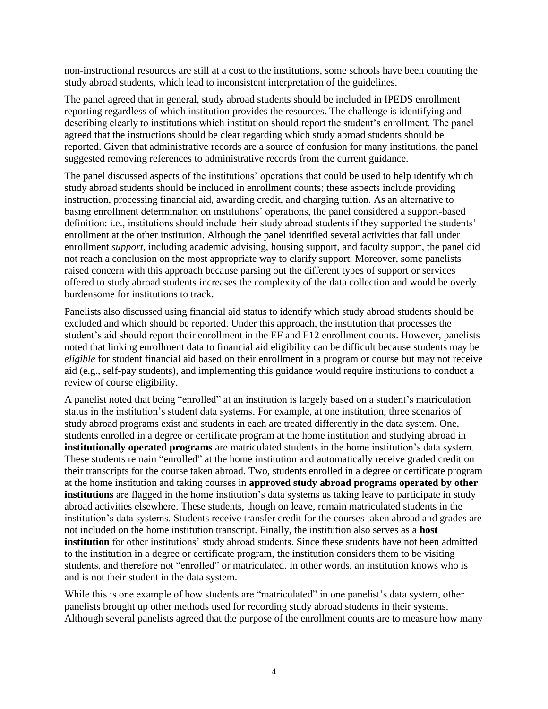non-instructional resources are still at a cost to the institutions, some schools have been counting the study abroad students, which lead to inconsistent interpretation of the guidelines.

The panel agreed that in general, study abroad students should be included in IPEDS enrollment reporting regardless of which institution provides the resources. The challenge is identifying and describing clearly to institutions which institution should report the student's enrollment. The panel agreed that the instructions should be clear regarding which study abroad students should be reported. Given that administrative records are a source of confusion for many institutions, the panel suggested removing references to administrative records from the current guidance.

The panel discussed aspects of the institutions' operations that could be used to help identify which study abroad students should be included in enrollment counts; these aspects include providing instruction, processing financial aid, awarding credit, and charging tuition. As an alternative to basing enrollment determination on institutions' operations, the panel considered a support-based definition: i.e., institutions should include their study abroad students if they supported the students' enrollment at the other institution. Although the panel identified several activities that fall under enrollment *support*, including academic advising, housing support, and faculty support, the panel did not reach a conclusion on the most appropriate way to clarify support. Moreover, some panelists raised concern with this approach because parsing out the different types of support or services offered to study abroad students increases the complexity of the data collection and would be overly burdensome for institutions to track.

Panelists also discussed using financial aid status to identify which study abroad students should be excluded and which should be reported. Under this approach, the institution that processes the student's aid should report their enrollment in the EF and E12 enrollment counts. However, panelists noted that linking enrollment data to financial aid eligibility can be difficult because students may be *eligible* for student financial aid based on their enrollment in a program or course but may not receive aid (e.g., self-pay students), and implementing this guidance would require institutions to conduct a review of course eligibility.

A panelist noted that being "enrolled" at an institution is largely based on a student's matriculation status in the institution's student data systems. For example, at one institution, three scenarios of study abroad programs exist and students in each are treated differently in the data system. One, students enrolled in a degree or certificate program at the home institution and studying abroad in **institutionally operated programs** are matriculated students in the home institution's data system. These students remain "enrolled" at the home institution and automatically receive graded credit on their transcripts for the course taken abroad. Two, students enrolled in a degree or certificate program at the home institution and taking courses in **approved study abroad programs operated by other institutions** are flagged in the home institution's data systems as taking leave to participate in study abroad activities elsewhere. These students, though on leave, remain matriculated students in the institution's data systems. Students receive transfer credit for the courses taken abroad and grades are not included on the home institution transcript. Finally, the institution also serves as a **host institution** for other institutions' study abroad students. Since these students have not been admitted to the institution in a degree or certificate program, the institution considers them to be visiting students, and therefore not "enrolled" or matriculated. In other words, an institution knows who is and is not their student in the data system.

While this is one example of how students are "matriculated" in one panelist's data system, other panelists brought up other methods used for recording study abroad students in their systems. Although several panelists agreed that the purpose of the enrollment counts are to measure how many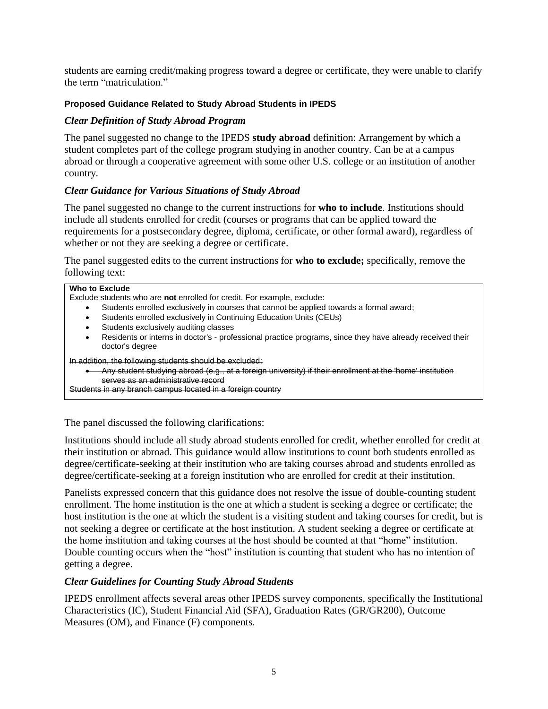students are earning credit/making progress toward a degree or certificate, they were unable to clarify the term "matriculation."

### **Proposed Guidance Related to Study Abroad Students in IPEDS**

### *Clear Definition of Study Abroad Program*

The panel suggested no change to the IPEDS **study abroad** definition: Arrangement by which a student completes part of the college program studying in another country. Can be at a campus abroad or through a cooperative agreement with some other U.S. college or an institution of another country.

### *Clear Guidance for Various Situations of Study Abroad*

The panel suggested no change to the current instructions for **who to include**. Institutions should include all students enrolled for credit (courses or programs that can be applied toward the requirements for a postsecondary degree, diploma, certificate, or other formal award), regardless of whether or not they are seeking a degree or certificate.

The panel suggested edits to the current instructions for **who to exclude;** specifically, remove the following text:

| Who to Exclude                                                                                                               |  |  |  |  |
|------------------------------------------------------------------------------------------------------------------------------|--|--|--|--|
| Exclude students who are not enrolled for credit. For example, exclude:                                                      |  |  |  |  |
| Students enrolled exclusively in courses that cannot be applied towards a formal award;                                      |  |  |  |  |
| Students enrolled exclusively in Continuing Education Units (CEUs)                                                           |  |  |  |  |
| Students exclusively auditing classes                                                                                        |  |  |  |  |
| Residents or interns in doctor's - professional practice programs, since they have already received their<br>doctor's degree |  |  |  |  |
| In addition, the following students should be excluded:                                                                      |  |  |  |  |
| Any student studying abroad (e.g., at a foreign university) if their enrollment at the 'home' institution                    |  |  |  |  |
| serves as an administrative record                                                                                           |  |  |  |  |
| Students in any branch campus located in a foreign country                                                                   |  |  |  |  |

The panel discussed the following clarifications:

Institutions should include all study abroad students enrolled for credit, whether enrolled for credit at their institution or abroad. This guidance would allow institutions to count both students enrolled as degree/certificate-seeking at their institution who are taking courses abroad and students enrolled as degree/certificate-seeking at a foreign institution who are enrolled for credit at their institution.

Panelists expressed concern that this guidance does not resolve the issue of double-counting student enrollment. The home institution is the one at which a student is seeking a degree or certificate; the host institution is the one at which the student is a visiting student and taking courses for credit, but is not seeking a degree or certificate at the host institution. A student seeking a degree or certificate at the home institution and taking courses at the host should be counted at that "home" institution. Double counting occurs when the "host" institution is counting that student who has no intention of getting a degree.

### *Clear Guidelines for Counting Study Abroad Students*

IPEDS enrollment affects several areas other IPEDS survey components, specifically the Institutional Characteristics (IC), Student Financial Aid (SFA), Graduation Rates (GR/GR200), Outcome Measures (OM), and Finance (F) components.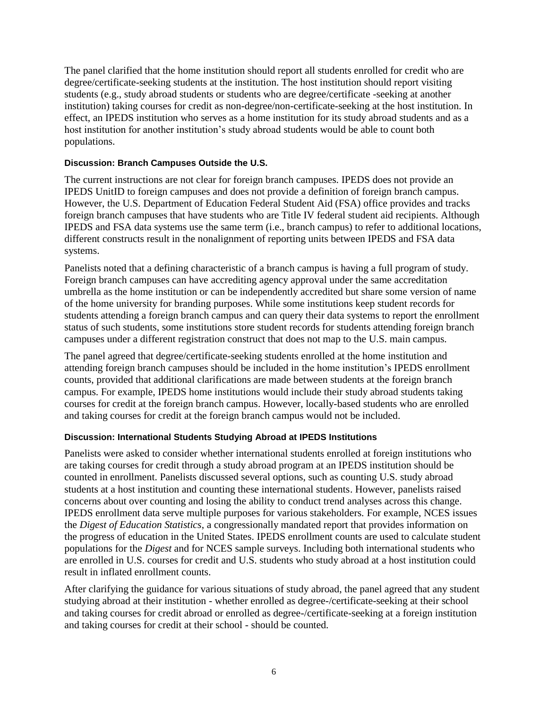The panel clarified that the home institution should report all students enrolled for credit who are degree/certificate-seeking students at the institution. The host institution should report visiting students (e.g., study abroad students or students who are degree/certificate -seeking at another institution) taking courses for credit as non-degree/non-certificate-seeking at the host institution. In effect, an IPEDS institution who serves as a home institution for its study abroad students and as a host institution for another institution's study abroad students would be able to count both populations.

#### **Discussion: Branch Campuses Outside the U.S.**

The current instructions are not clear for foreign branch campuses. IPEDS does not provide an IPEDS UnitID to foreign campuses and does not provide a definition of foreign branch campus. However, the U.S. Department of Education Federal Student Aid (FSA) office provides and tracks foreign branch campuses that have students who are Title IV federal student aid recipients. Although IPEDS and FSA data systems use the same term (i.e., branch campus) to refer to additional locations, different constructs result in the nonalignment of reporting units between IPEDS and FSA data systems.

Panelists noted that a defining characteristic of a branch campus is having a full program of study. Foreign branch campuses can have accrediting agency approval under the same accreditation umbrella as the home institution or can be independently accredited but share some version of name of the home university for branding purposes. While some institutions keep student records for students attending a foreign branch campus and can query their data systems to report the enrollment status of such students, some institutions store student records for students attending foreign branch campuses under a different registration construct that does not map to the U.S. main campus.

The panel agreed that degree/certificate-seeking students enrolled at the home institution and attending foreign branch campuses should be included in the home institution's IPEDS enrollment counts, provided that additional clarifications are made between students at the foreign branch campus. For example, IPEDS home institutions would include their study abroad students taking courses for credit at the foreign branch campus. However, locally-based students who are enrolled and taking courses for credit at the foreign branch campus would not be included.

#### **Discussion: International Students Studying Abroad at IPEDS Institutions**

Panelists were asked to consider whether international students enrolled at foreign institutions who are taking courses for credit through a study abroad program at an IPEDS institution should be counted in enrollment. Panelists discussed several options, such as counting U.S. study abroad students at a host institution and counting these international students. However, panelists raised concerns about over counting and losing the ability to conduct trend analyses across this change. IPEDS enrollment data serve multiple purposes for various stakeholders. For example, NCES issues the *Digest of Education Statistics*, a congressionally mandated report that provides information on the progress of education in the United States. IPEDS enrollment counts are used to calculate student populations for the *Digest* and for NCES sample surveys. Including both international students who are enrolled in U.S. courses for credit and U.S. students who study abroad at a host institution could result in inflated enrollment counts.

After clarifying the guidance for various situations of study abroad, the panel agreed that any student studying abroad at their institution - whether enrolled as degree-/certificate-seeking at their school and taking courses for credit abroad or enrolled as degree-/certificate-seeking at a foreign institution and taking courses for credit at their school - should be counted.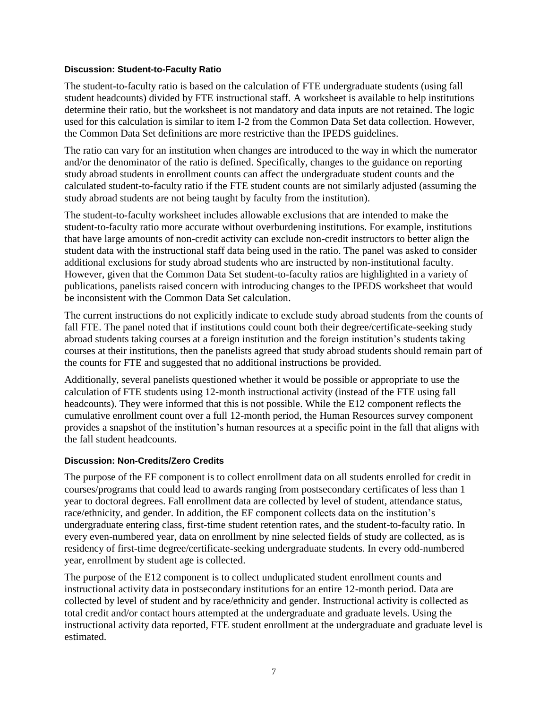#### **Discussion: Student-to-Faculty Ratio**

The student-to-faculty ratio is based on the calculation of FTE undergraduate students (using fall student headcounts) divided by FTE instructional staff. A worksheet is available to help institutions determine their ratio, but the worksheet is not mandatory and data inputs are not retained. The logic used for this calculation is similar to item I-2 from the Common Data Set data collection. However, the Common Data Set definitions are more restrictive than the IPEDS guidelines.

The ratio can vary for an institution when changes are introduced to the way in which the numerator and/or the denominator of the ratio is defined. Specifically, changes to the guidance on reporting study abroad students in enrollment counts can affect the undergraduate student counts and the calculated student-to-faculty ratio if the FTE student counts are not similarly adjusted (assuming the study abroad students are not being taught by faculty from the institution).

The student-to-faculty worksheet includes allowable exclusions that are intended to make the student-to-faculty ratio more accurate without overburdening institutions. For example, institutions that have large amounts of non-credit activity can exclude non-credit instructors to better align the student data with the instructional staff data being used in the ratio. The panel was asked to consider additional exclusions for study abroad students who are instructed by non-institutional faculty. However, given that the Common Data Set student-to-faculty ratios are highlighted in a variety of publications, panelists raised concern with introducing changes to the IPEDS worksheet that would be inconsistent with the Common Data Set calculation.

The current instructions do not explicitly indicate to exclude study abroad students from the counts of fall FTE. The panel noted that if institutions could count both their degree/certificate-seeking study abroad students taking courses at a foreign institution and the foreign institution's students taking courses at their institutions, then the panelists agreed that study abroad students should remain part of the counts for FTE and suggested that no additional instructions be provided.

Additionally, several panelists questioned whether it would be possible or appropriate to use the calculation of FTE students using 12-month instructional activity (instead of the FTE using fall headcounts). They were informed that this is not possible. While the E12 component reflects the cumulative enrollment count over a full 12-month period, the Human Resources survey component provides a snapshot of the institution's human resources at a specific point in the fall that aligns with the fall student headcounts.

#### **Discussion: Non-Credits/Zero Credits**

The purpose of the EF component is to collect enrollment data on all students enrolled for credit in courses/programs that could lead to awards ranging from postsecondary certificates of less than 1 year to doctoral degrees. Fall enrollment data are collected by level of student, attendance status, race/ethnicity, and gender. In addition, the EF component collects data on the institution's undergraduate entering class, first-time student retention rates, and the student-to-faculty ratio. In every even-numbered year, data on enrollment by nine selected fields of study are collected, as is residency of first-time degree/certificate-seeking undergraduate students. In every odd-numbered year, enrollment by student age is collected.

The purpose of the E12 component is to collect unduplicated student enrollment counts and instructional activity data in postsecondary institutions for an entire 12-month period. Data are collected by level of student and by race/ethnicity and gender. Instructional activity is collected as total credit and/or contact hours attempted at the undergraduate and graduate levels. Using the instructional activity data reported, FTE student enrollment at the undergraduate and graduate level is estimated.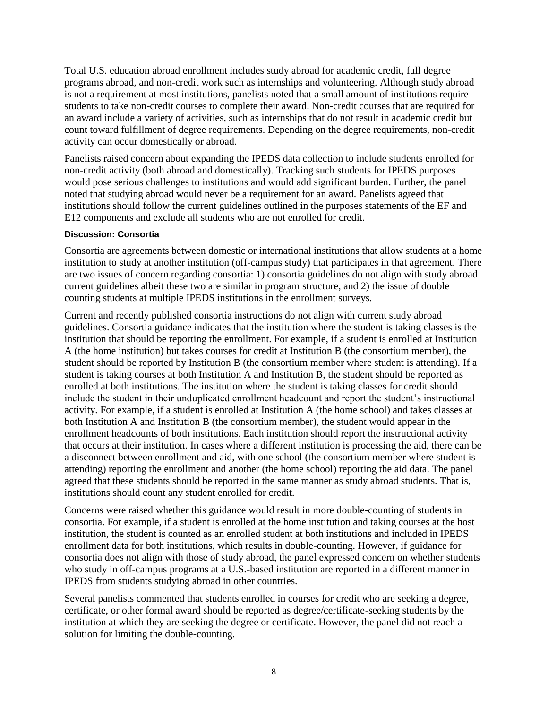Total U.S. education abroad enrollment includes study abroad for academic credit, full degree programs abroad, and non-credit work such as internships and volunteering. Although study abroad is not a requirement at most institutions, panelists noted that a small amount of institutions require students to take non-credit courses to complete their award. Non-credit courses that are required for an award include a variety of activities, such as internships that do not result in academic credit but count toward fulfillment of degree requirements. Depending on the degree requirements, non-credit activity can occur domestically or abroad.

Panelists raised concern about expanding the IPEDS data collection to include students enrolled for non-credit activity (both abroad and domestically). Tracking such students for IPEDS purposes would pose serious challenges to institutions and would add significant burden. Further, the panel noted that studying abroad would never be a requirement for an award. Panelists agreed that institutions should follow the current guidelines outlined in the purposes statements of the EF and E12 components and exclude all students who are not enrolled for credit.

#### **Discussion: Consortia**

Consortia are agreements between domestic or international institutions that allow students at a home institution to study at another institution (off-campus study) that participates in that agreement. There are two issues of concern regarding consortia: 1) consortia guidelines do not align with study abroad current guidelines albeit these two are similar in program structure, and 2) the issue of double counting students at multiple IPEDS institutions in the enrollment surveys.

Current and recently published consortia instructions do not align with current study abroad guidelines. Consortia guidance indicates that the institution where the student is taking classes is the institution that should be reporting the enrollment. For example, if a student is enrolled at Institution A (the home institution) but takes courses for credit at Institution B (the consortium member), the student should be reported by Institution B (the consortium member where student is attending). If a student is taking courses at both Institution A and Institution B, the student should be reported as enrolled at both institutions. The institution where the student is taking classes for credit should include the student in their unduplicated enrollment headcount and report the student's instructional activity. For example, if a student is enrolled at Institution A (the home school) and takes classes at both Institution A and Institution B (the consortium member), the student would appear in the enrollment headcounts of both institutions. Each institution should report the instructional activity that occurs at their institution. In cases where a different institution is processing the aid, there can be a disconnect between enrollment and aid, with one school (the consortium member where student is attending) reporting the enrollment and another (the home school) reporting the aid data. The panel agreed that these students should be reported in the same manner as study abroad students. That is, institutions should count any student enrolled for credit.

Concerns were raised whether this guidance would result in more double-counting of students in consortia. For example, if a student is enrolled at the home institution and taking courses at the host institution, the student is counted as an enrolled student at both institutions and included in IPEDS enrollment data for both institutions, which results in double-counting. However, if guidance for consortia does not align with those of study abroad, the panel expressed concern on whether students who study in off-campus programs at a U.S.-based institution are reported in a different manner in IPEDS from students studying abroad in other countries.

Several panelists commented that students enrolled in courses for credit who are seeking a degree, certificate, or other formal award should be reported as degree/certificate-seeking students by the institution at which they are seeking the degree or certificate. However, the panel did not reach a solution for limiting the double-counting.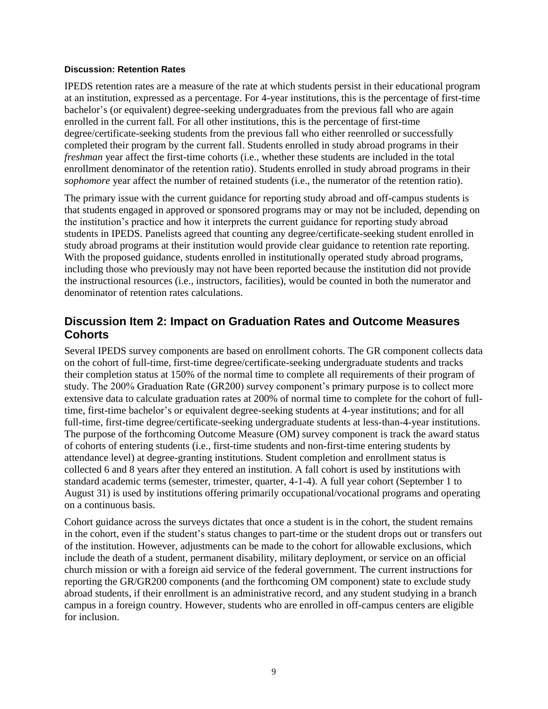#### **Discussion: Retention Rates**

IPEDS retention rates are a measure of the rate at which students persist in their educational program at an institution, expressed as a percentage. For 4-year institutions, this is the percentage of first-time bachelor's (or equivalent) degree-seeking undergraduates from the previous fall who are again enrolled in the current fall. For all other institutions, this is the percentage of first-time degree/certificate-seeking students from the previous fall who either reenrolled or successfully completed their program by the current fall. Students enrolled in study abroad programs in their *freshman* year affect the first-time cohorts (i.e., whether these students are included in the total enrollment denominator of the retention ratio). Students enrolled in study abroad programs in their *sophomore* year affect the number of retained students (i.e., the numerator of the retention ratio).

The primary issue with the current guidance for reporting study abroad and off-campus students is that students engaged in approved or sponsored programs may or may not be included, depending on the institution's practice and how it interprets the current guidance for reporting study abroad students in IPEDS. Panelists agreed that counting any degree/certificate-seeking student enrolled in study abroad programs at their institution would provide clear guidance to retention rate reporting. With the proposed guidance, students enrolled in institutionally operated study abroad programs, including those who previously may not have been reported because the institution did not provide the instructional resources (i.e., instructors, facilities), would be counted in both the numerator and denominator of retention rates calculations.

### **Discussion Item 2: Impact on Graduation Rates and Outcome Measures Cohorts**

Several IPEDS survey components are based on enrollment cohorts. The GR component collects data on the cohort of full-time, first-time degree/certificate-seeking undergraduate students and tracks their completion status at 150% of the normal time to complete all requirements of their program of study. The 200% Graduation Rate (GR200) survey component's primary purpose is to collect more extensive data to calculate graduation rates at 200% of normal time to complete for the cohort of fulltime, first-time bachelor's or equivalent degree-seeking students at 4-year institutions; and for all full-time, first-time degree/certificate-seeking undergraduate students at less-than-4-year institutions. The purpose of the forthcoming Outcome Measure (OM) survey component is track the award status of cohorts of entering students (i.e., first-time students and non-first-time entering students by attendance level) at degree-granting institutions. Student completion and enrollment status is collected 6 and 8 years after they entered an institution. A fall cohort is used by institutions with standard academic terms (semester, trimester, quarter, 4-1-4). A full year cohort (September 1 to August 31) is used by institutions offering primarily occupational/vocational programs and operating on a continuous basis.

Cohort guidance across the surveys dictates that once a student is in the cohort, the student remains in the cohort, even if the student's status changes to part-time or the student drops out or transfers out of the institution. However, adjustments can be made to the cohort for allowable exclusions, which include the death of a student, permanent disability, military deployment, or service on an official church mission or with a foreign aid service of the federal government. The current instructions for reporting the GR/GR200 components (and the forthcoming OM component) state to exclude study abroad students, if their enrollment is an administrative record, and any student studying in a branch campus in a foreign country. However, students who are enrolled in off-campus centers are eligible for inclusion.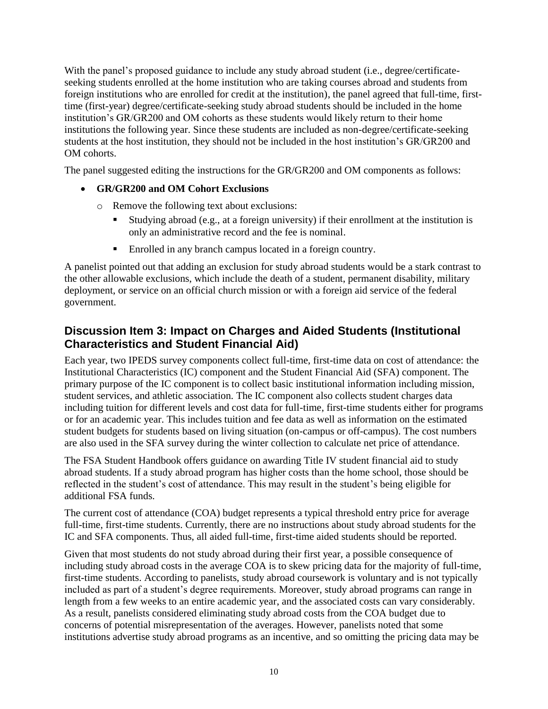With the panel's proposed guidance to include any study abroad student (i.e., degree/certificateseeking students enrolled at the home institution who are taking courses abroad and students from foreign institutions who are enrolled for credit at the institution), the panel agreed that full-time, firsttime (first-year) degree/certificate-seeking study abroad students should be included in the home institution's GR/GR200 and OM cohorts as these students would likely return to their home institutions the following year. Since these students are included as non-degree/certificate-seeking students at the host institution, they should not be included in the host institution's GR/GR200 and OM cohorts.

The panel suggested editing the instructions for the GR/GR200 and OM components as follows:

### **GR/GR200 and OM Cohort Exclusions**

- o Remove the following text about exclusions:
	- Studying abroad (e.g., at a foreign university) if their enrollment at the institution is only an administrative record and the fee is nominal.
	- Enrolled in any branch campus located in a foreign country.

A panelist pointed out that adding an exclusion for study abroad students would be a stark contrast to the other allowable exclusions, which include the death of a student, permanent disability, military deployment, or service on an official church mission or with a foreign aid service of the federal government.

# **Discussion Item 3: Impact on Charges and Aided Students (Institutional Characteristics and Student Financial Aid)**

Each year, two IPEDS survey components collect full-time, first-time data on cost of attendance: the Institutional Characteristics (IC) component and the Student Financial Aid (SFA) component. The primary purpose of the IC component is to collect basic institutional information including mission, student services, and athletic association. The IC component also collects student charges data including tuition for different levels and cost data for full-time, first-time students either for programs or for an academic year. This includes tuition and fee data as well as information on the estimated student budgets for students based on living situation (on-campus or off-campus). The cost numbers are also used in the SFA survey during the winter collection to calculate net price of attendance.

The FSA Student Handbook offers guidance on awarding Title IV student financial aid to study abroad students. If a study abroad program has higher costs than the home school, those should be reflected in the student's cost of attendance. This may result in the student's being eligible for additional FSA funds.

The current cost of attendance (COA) budget represents a typical threshold entry price for average full-time, first-time students. Currently, there are no instructions about study abroad students for the IC and SFA components. Thus, all aided full-time, first-time aided students should be reported.

Given that most students do not study abroad during their first year, a possible consequence of including study abroad costs in the average COA is to skew pricing data for the majority of full-time, first-time students. According to panelists, study abroad coursework is voluntary and is not typically included as part of a student's degree requirements. Moreover, study abroad programs can range in length from a few weeks to an entire academic year, and the associated costs can vary considerably. As a result, panelists considered eliminating study abroad costs from the COA budget due to concerns of potential misrepresentation of the averages. However, panelists noted that some institutions advertise study abroad programs as an incentive, and so omitting the pricing data may be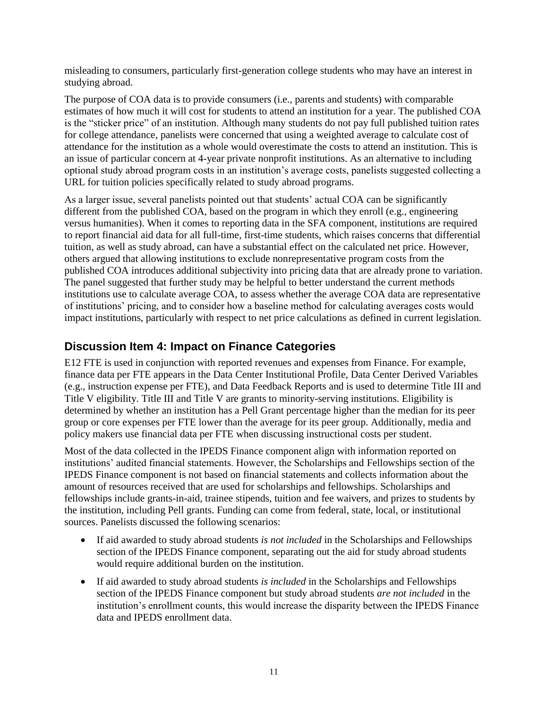misleading to consumers, particularly first-generation college students who may have an interest in studying abroad.

The purpose of COA data is to provide consumers (i.e., parents and students) with comparable estimates of how much it will cost for students to attend an institution for a year. The published COA is the "sticker price" of an institution. Although many students do not pay full published tuition rates for college attendance, panelists were concerned that using a weighted average to calculate cost of attendance for the institution as a whole would overestimate the costs to attend an institution. This is an issue of particular concern at 4-year private nonprofit institutions. As an alternative to including optional study abroad program costs in an institution's average costs, panelists suggested collecting a URL for tuition policies specifically related to study abroad programs.

As a larger issue, several panelists pointed out that students' actual COA can be significantly different from the published COA, based on the program in which they enroll (e.g., engineering versus humanities). When it comes to reporting data in the SFA component, institutions are required to report financial aid data for all full-time, first-time students, which raises concerns that differential tuition, as well as study abroad, can have a substantial effect on the calculated net price. However, others argued that allowing institutions to exclude nonrepresentative program costs from the published COA introduces additional subjectivity into pricing data that are already prone to variation. The panel suggested that further study may be helpful to better understand the current methods institutions use to calculate average COA, to assess whether the average COA data are representative of institutions' pricing, and to consider how a baseline method for calculating averages costs would impact institutions, particularly with respect to net price calculations as defined in current legislation.

## **Discussion Item 4: Impact on Finance Categories**

E12 FTE is used in conjunction with reported revenues and expenses from Finance. For example, finance data per FTE appears in the Data Center Institutional Profile, Data Center Derived Variables (e.g., instruction expense per FTE), and Data Feedback Reports and is used to determine Title III and Title V eligibility. Title III and Title V are grants to minority-serving institutions. Eligibility is determined by whether an institution has a Pell Grant percentage higher than the median for its peer group or core expenses per FTE lower than the average for its peer group. Additionally, media and policy makers use financial data per FTE when discussing instructional costs per student.

Most of the data collected in the IPEDS Finance component align with information reported on institutions' audited financial statements. However, the Scholarships and Fellowships section of the IPEDS Finance component is not based on financial statements and collects information about the amount of resources received that are used for scholarships and fellowships. Scholarships and fellowships include grants-in-aid, trainee stipends, tuition and fee waivers, and prizes to students by the institution, including Pell grants. Funding can come from federal, state, local, or institutional sources. Panelists discussed the following scenarios:

- If aid awarded to study abroad students *is not included* in the Scholarships and Fellowships section of the IPEDS Finance component, separating out the aid for study abroad students would require additional burden on the institution.
- If aid awarded to study abroad students *is included* in the Scholarships and Fellowships section of the IPEDS Finance component but study abroad students *are not included* in the institution's enrollment counts, this would increase the disparity between the IPEDS Finance data and IPEDS enrollment data.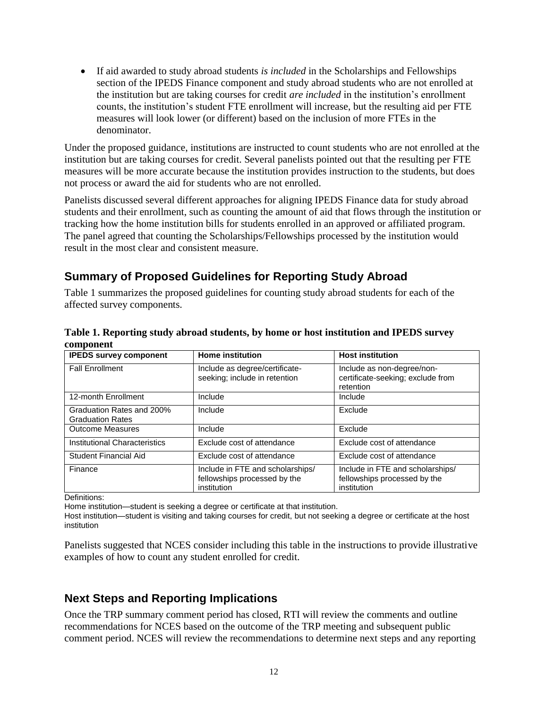If aid awarded to study abroad students *is included* in the Scholarships and Fellowships section of the IPEDS Finance component and study abroad students who are not enrolled at the institution but are taking courses for credit *are included* in the institution's enrollment counts, the institution's student FTE enrollment will increase, but the resulting aid per FTE measures will look lower (or different) based on the inclusion of more FTEs in the denominator.

Under the proposed guidance, institutions are instructed to count students who are not enrolled at the institution but are taking courses for credit. Several panelists pointed out that the resulting per FTE measures will be more accurate because the institution provides instruction to the students, but does not process or award the aid for students who are not enrolled.

Panelists discussed several different approaches for aligning IPEDS Finance data for study abroad students and their enrollment, such as counting the amount of aid that flows through the institution or tracking how the home institution bills for students enrolled in an approved or affiliated program. The panel agreed that counting the Scholarships/Fellowships processed by the institution would result in the most clear and consistent measure.

## **Summary of Proposed Guidelines for Reporting Study Abroad**

Table 1 summarizes the proposed guidelines for counting study abroad students for each of the affected survey components.

| Table 1. Reporting study abroad students, by home or host institution and IPEDS survey |  |
|----------------------------------------------------------------------------------------|--|
| component                                                                              |  |

| <b>IPEDS survey component</b>                        | <b>Home institution</b>                                                         | <b>Host institution</b>                                                         |
|------------------------------------------------------|---------------------------------------------------------------------------------|---------------------------------------------------------------------------------|
| <b>Fall Enrollment</b>                               | Include as degree/certificate-<br>seeking; include in retention                 | Include as non-degree/non-<br>certificate-seeking; exclude from<br>retention    |
| 12-month Enrollment                                  | Include                                                                         | Include                                                                         |
| Graduation Rates and 200%<br><b>Graduation Rates</b> | Include                                                                         | Exclude                                                                         |
| <b>Outcome Measures</b>                              | Include                                                                         | Exclude                                                                         |
| Institutional Characteristics                        | Exclude cost of attendance                                                      | Exclude cost of attendance                                                      |
| <b>Student Financial Aid</b>                         | Exclude cost of attendance                                                      | Exclude cost of attendance                                                      |
| Finance                                              | Include in FTE and scholarships/<br>fellowships processed by the<br>institution | Include in FTE and scholarships/<br>fellowships processed by the<br>institution |

Definitions:

Home institution—student is seeking a degree or certificate at that institution.

Host institution—student is visiting and taking courses for credit, but not seeking a degree or certificate at the host institution

Panelists suggested that NCES consider including this table in the instructions to provide illustrative examples of how to count any student enrolled for credit.

### **Next Steps and Reporting Implications**

Once the TRP summary comment period has closed, RTI will review the comments and outline recommendations for NCES based on the outcome of the TRP meeting and subsequent public comment period. NCES will review the recommendations to determine next steps and any reporting